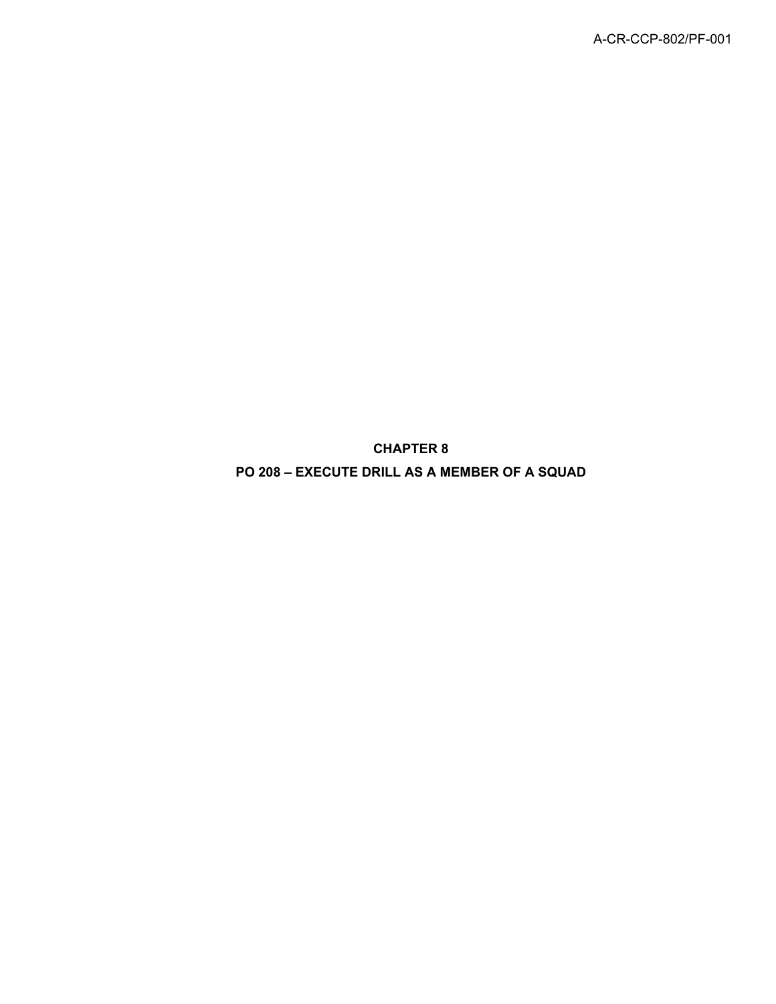CHAPTER 8

PO 208 – EXECUTE DRILL AS A MEMBER OF A SQUAD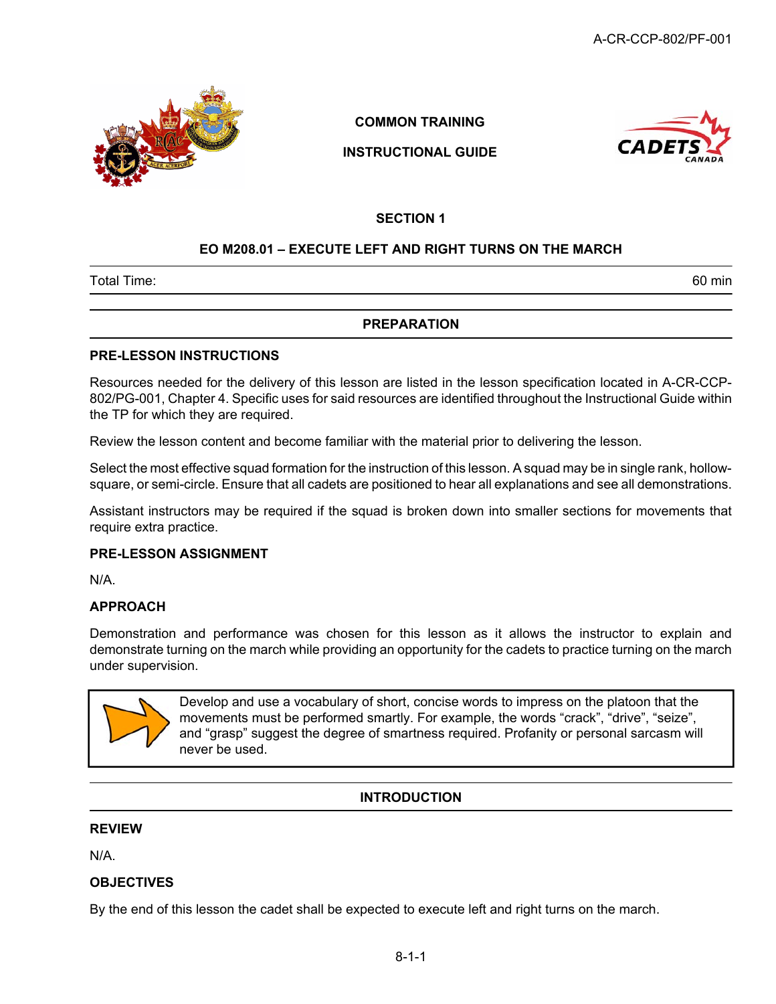

INSTRUCTIONAL GUIDE



#### SECTION 1

#### EO M208.01 – EXECUTE LEFT AND RIGHT TURNS ON THE MARCH

Total Time: 60 min

## PREPARATION

#### PRE-LESSON INSTRUCTIONS

Resources needed for the delivery of this lesson are listed in the lesson specification located in A-CR-CCP-802/PG-001, Chapter 4. Specific uses for said resources are identified throughout the Instructional Guide within the TP for which they are required.

Review the lesson content and become familiar with the material prior to delivering the lesson.

Select the most effective squad formation for the instruction of this lesson. A squad may be in single rank, hollowsquare, or semi-circle. Ensure that all cadets are positioned to hear all explanations and see all demonstrations.

Assistant instructors may be required if the squad is broken down into smaller sections for movements that require extra practice.

#### PRE-LESSON ASSIGNMENT

N/A.

## APPROACH

Demonstration and performance was chosen for this lesson as it allows the instructor to explain and demonstrate turning on the march while providing an opportunity for the cadets to practice turning on the march under supervision.



Develop and use a vocabulary of short, concise words to impress on the platoon that the movements must be performed smartly. For example, the words "crack", "drive", "seize", and "grasp" suggest the degree of smartness required. Profanity or personal sarcasm will never be used.

## INTRODUCTION

#### REVIEW

N/A.

## **OBJECTIVES**

By the end of this lesson the cadet shall be expected to execute left and right turns on the march.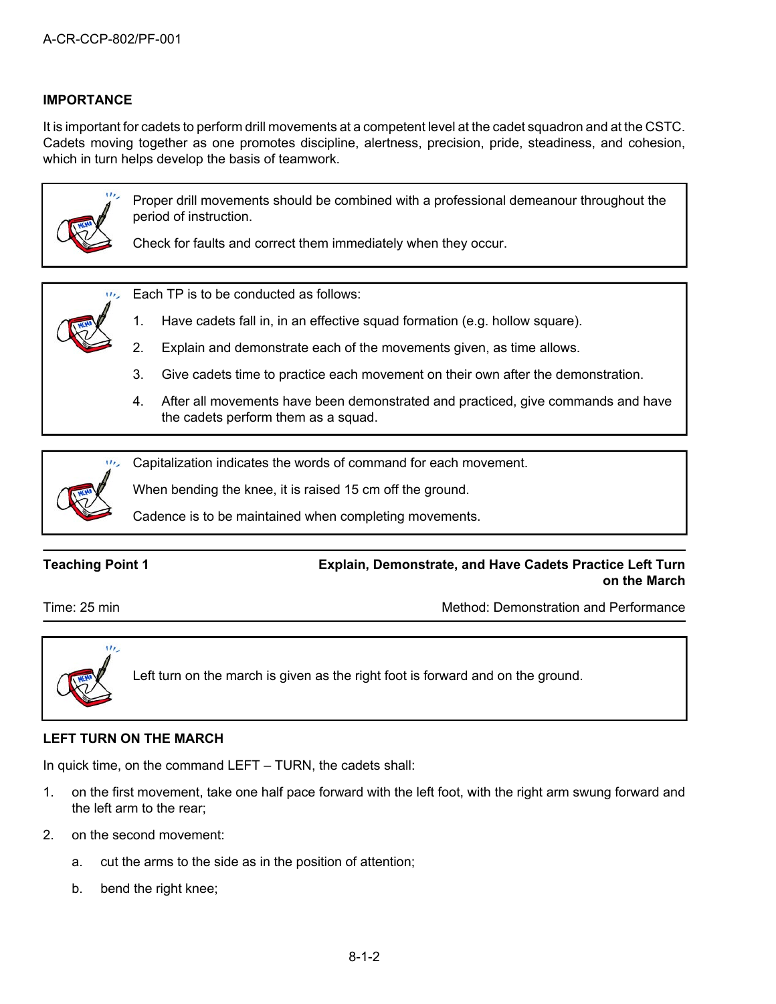## IMPORTANCE

It is important for cadets to perform drill movements at a competent level at the cadet squadron and at the CSTC. Cadets moving together as one promotes discipline, alertness, precision, pride, steadiness, and cohesion, which in turn helps develop the basis of teamwork.



Proper drill movements should be combined with a professional demeanour throughout the period of instruction.

Check for faults and correct them immediately when they occur.



Each TP is to be conducted as follows:

- 1. Have cadets fall in, in an effective squad formation (e.g. hollow square).
- 2. Explain and demonstrate each of the movements given, as time allows.
- 3. Give cadets time to practice each movement on their own after the demonstration.
- 4. After all movements have been demonstrated and practiced, give commands and have the cadets perform them as a squad.

Capitalization indicates the words of command for each movement.

When bending the knee, it is raised 15 cm off the ground.

Cadence is to be maintained when completing movements.

 $\overline{u}$ 

## Teaching Point 1 Explain, Demonstrate, and Have Cadets Practice Left Turn on the March

Time: 25 min Method: Demonstration and Performance



Left turn on the march is given as the right foot is forward and on the ground.

## LEFT TURN ON THE MARCH

In quick time, on the command LEFT – TURN, the cadets shall:

- 1. on the first movement, take one half pace forward with the left foot, with the right arm swung forward and the left arm to the rear;
- 2. on the second movement:
	- a. cut the arms to the side as in the position of attention;
	- b. bend the right knee;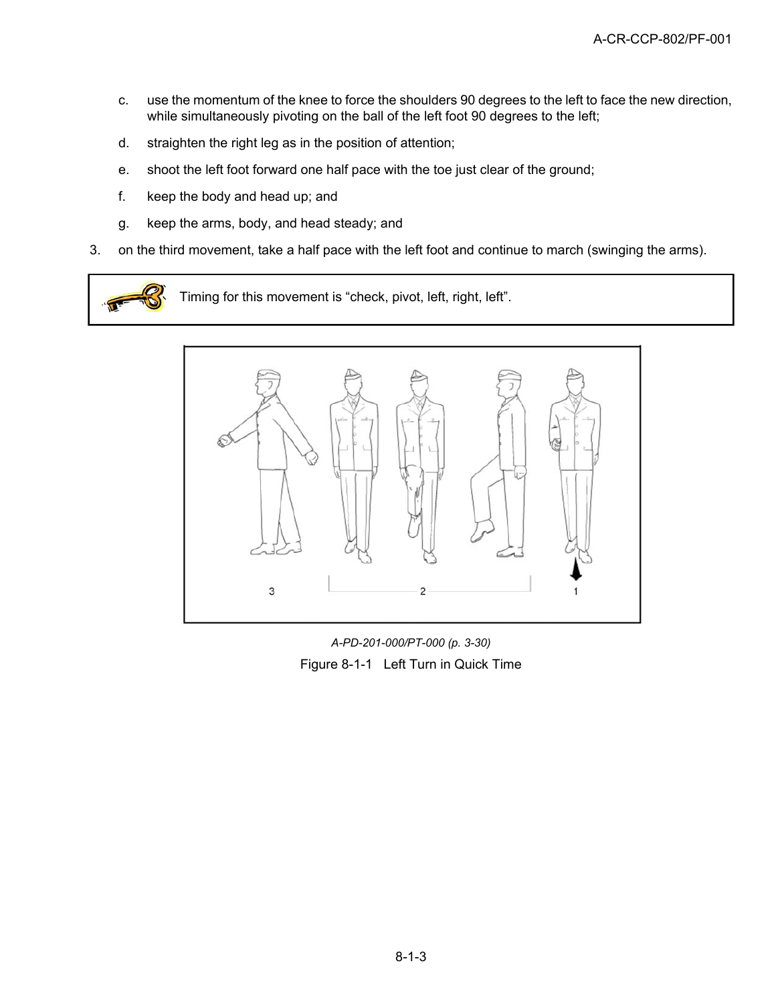- c. use the momentum of the knee to force the shoulders 90 degrees to the left to face the new direction, while simultaneously pivoting on the ball of the left foot 90 degrees to the left;
- d. straighten the right leg as in the position of attention;
- e. shoot the left foot forward one half pace with the toe just clear of the ground;
- f. keep the body and head up; and
- g. keep the arms, body, and head steady; and
- 3. on the third movement, take a half pace with the left foot and continue to march (swinging the arms).





A-PD-201-000/PT-000 (p. 3-30) Figure 8-1-1 Left Turn in Quick Time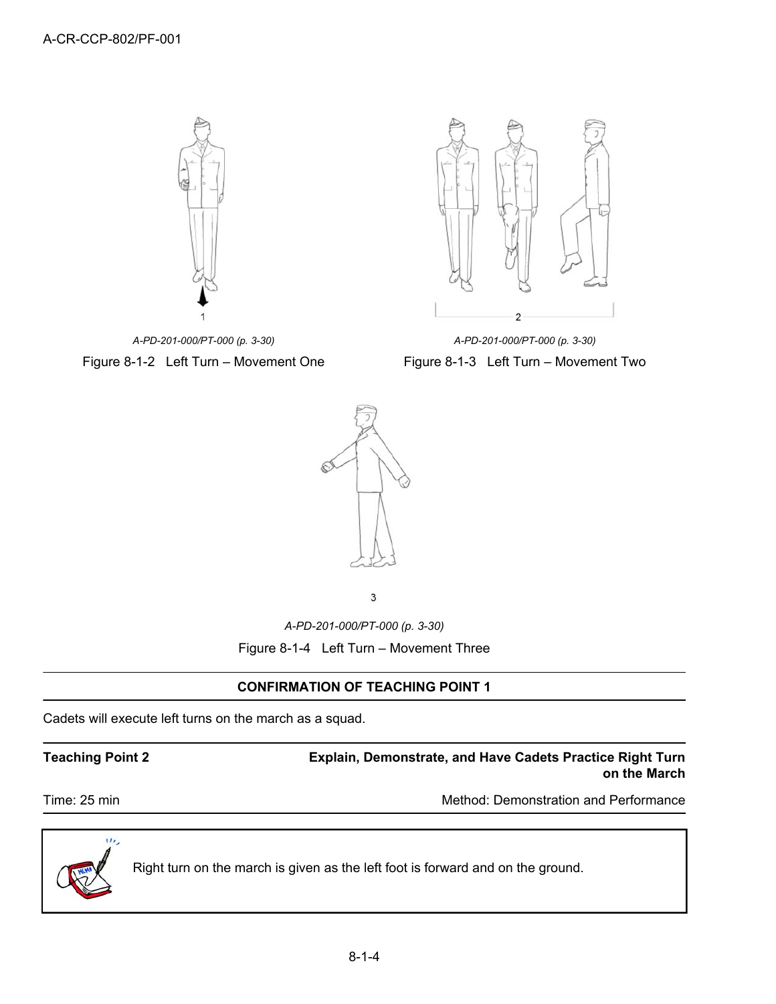

A-PD-201-000/PT-000 (p. 3-30) Figure 8-1-2 Left Turn – Movement One



A-PD-201-000/PT-000 (p. 3-30) Figure 8-1-3 Left Turn – Movement Two



3

A-PD-201-000/PT-000 (p. 3-30)



# CONFIRMATION OF TEACHING POINT 1

Cadets will execute left turns on the march as a squad.

## Teaching Point 2 Explain, Demonstrate, and Have Cadets Practice Right Turn on the March

Time: 25 min Method: Demonstration and Performance



Right turn on the march is given as the left foot is forward and on the ground.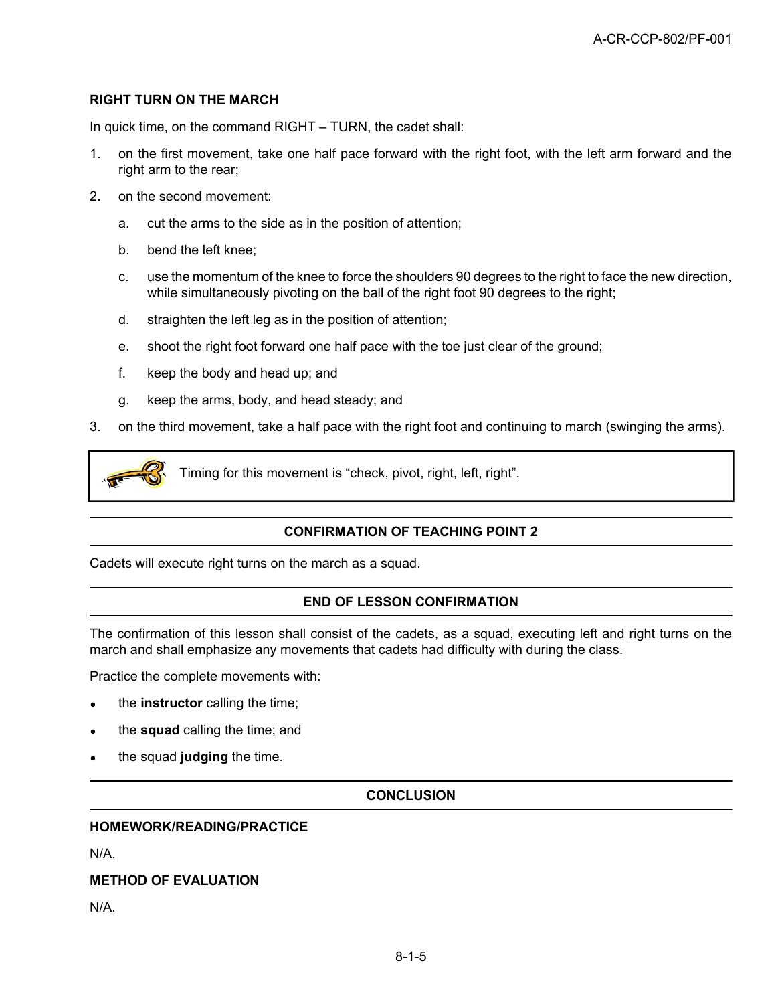## RIGHT TURN ON THE MARCH

In quick time, on the command RIGHT – TURN, the cadet shall:

- 1. on the first movement, take one half pace forward with the right foot, with the left arm forward and the right arm to the rear;
- 2. on the second movement:
	- a. cut the arms to the side as in the position of attention;
	- b. bend the left knee;
	- c. use the momentum of the knee to force the shoulders 90 degrees to the right to face the new direction, while simultaneously pivoting on the ball of the right foot 90 degrees to the right;
	- d. straighten the left leg as in the position of attention;
	- e. shoot the right foot forward one half pace with the toe just clear of the ground;
	- f. keep the body and head up; and
	- g. keep the arms, body, and head steady; and
- 3. on the third movement, take a half pace with the right foot and continuing to march (swinging the arms).



Timing for this movement is "check, pivot, right, left, right".

#### CONFIRMATION OF TEACHING POINT 2

Cadets will execute right turns on the march as a squad.

## END OF LESSON CONFIRMATION

The confirmation of this lesson shall consist of the cadets, as a squad, executing left and right turns on the march and shall emphasize any movements that cadets had difficulty with during the class.

Practice the complete movements with:

- the instructor calling the time;
- the squad calling the time; and
- the squad judging the time.

## **CONCLUSION**

#### HOMEWORK/READING/PRACTICE

N/A.

METHOD OF EVALUATION

N/A.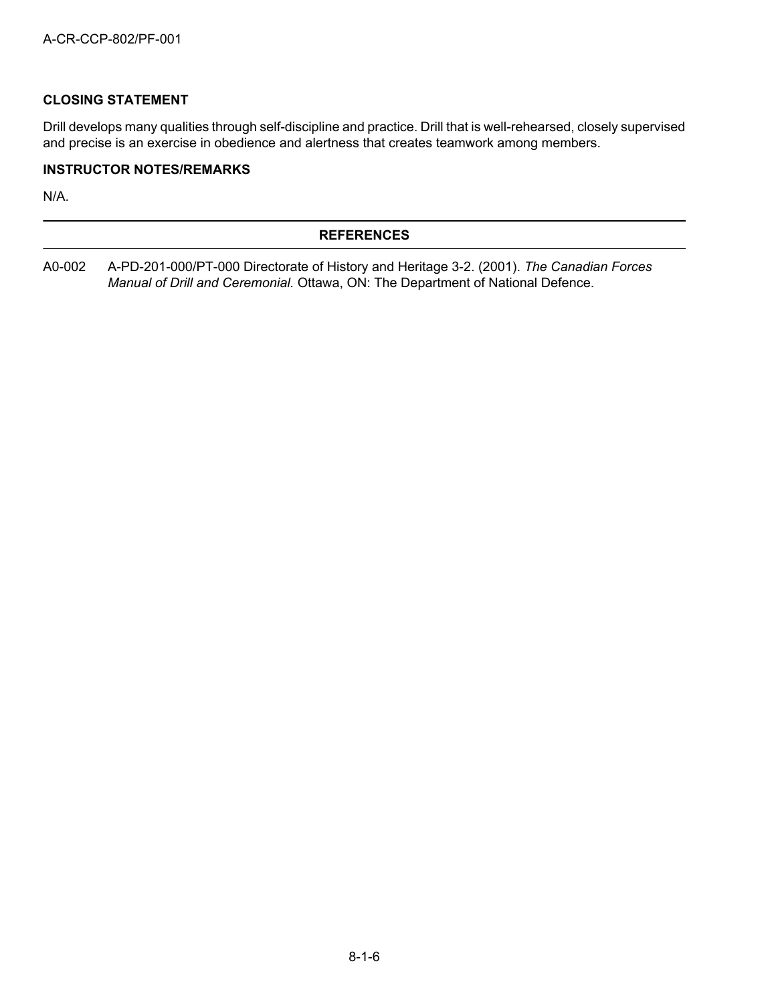## CLOSING STATEMENT

Drill develops many qualities through self-discipline and practice. Drill that is well-rehearsed, closely supervised and precise is an exercise in obedience and alertness that creates teamwork among members.

## INSTRUCTOR NOTES/REMARKS

N/A.

## REFERENCES

A0-002 A-PD-201-000/PT-000 Directorate of History and Heritage 3-2. (2001). The Canadian Forces Manual of Drill and Ceremonial. Ottawa, ON: The Department of National Defence.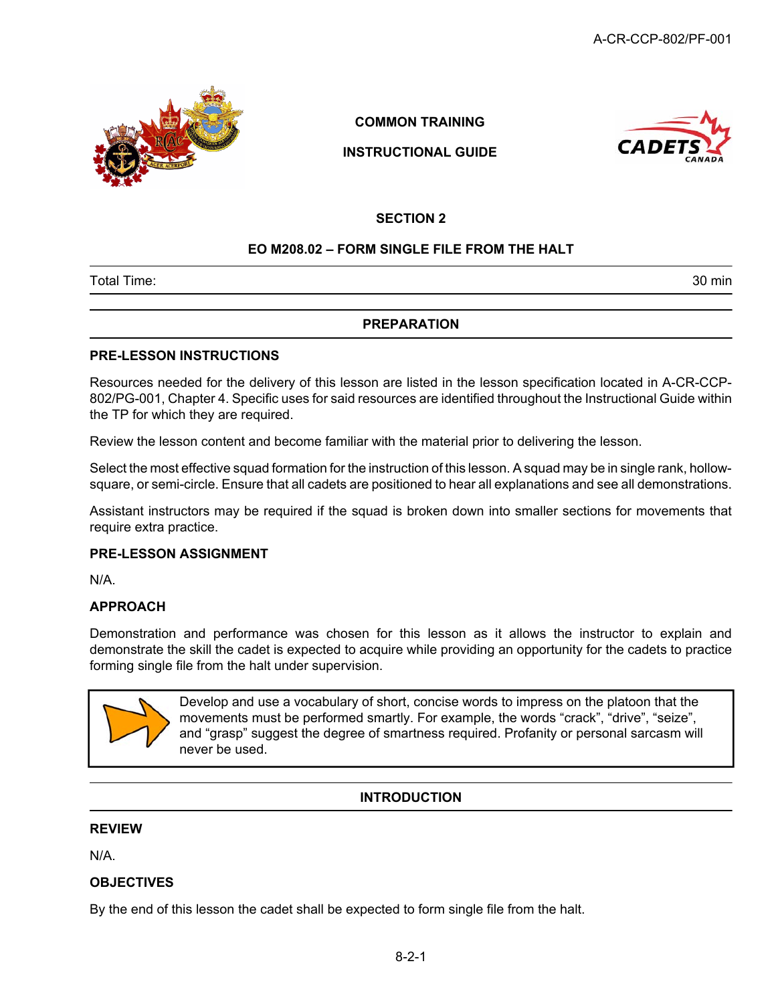

INSTRUCTIONAL GUIDE



## SECTION 2

#### EO M208.02 – FORM SINGLE FILE FROM THE HALT

Total Time: 30 min

## PREPARATION

#### PRE-LESSON INSTRUCTIONS

Resources needed for the delivery of this lesson are listed in the lesson specification located in A-CR-CCP-802/PG-001, Chapter 4. Specific uses for said resources are identified throughout the Instructional Guide within the TP for which they are required.

Review the lesson content and become familiar with the material prior to delivering the lesson.

Select the most effective squad formation for the instruction of this lesson. A squad may be in single rank, hollowsquare, or semi-circle. Ensure that all cadets are positioned to hear all explanations and see all demonstrations.

Assistant instructors may be required if the squad is broken down into smaller sections for movements that require extra practice.

## PRE-LESSON ASSIGNMENT

N/A.

## APPROACH

Demonstration and performance was chosen for this lesson as it allows the instructor to explain and demonstrate the skill the cadet is expected to acquire while providing an opportunity for the cadets to practice forming single file from the halt under supervision.



Develop and use a vocabulary of short, concise words to impress on the platoon that the movements must be performed smartly. For example, the words "crack", "drive", "seize", and "grasp" suggest the degree of smartness required. Profanity or personal sarcasm will never be used.

## INTRODUCTION

#### REVIEW

N/A.

## **OBJECTIVES**

By the end of this lesson the cadet shall be expected to form single file from the halt.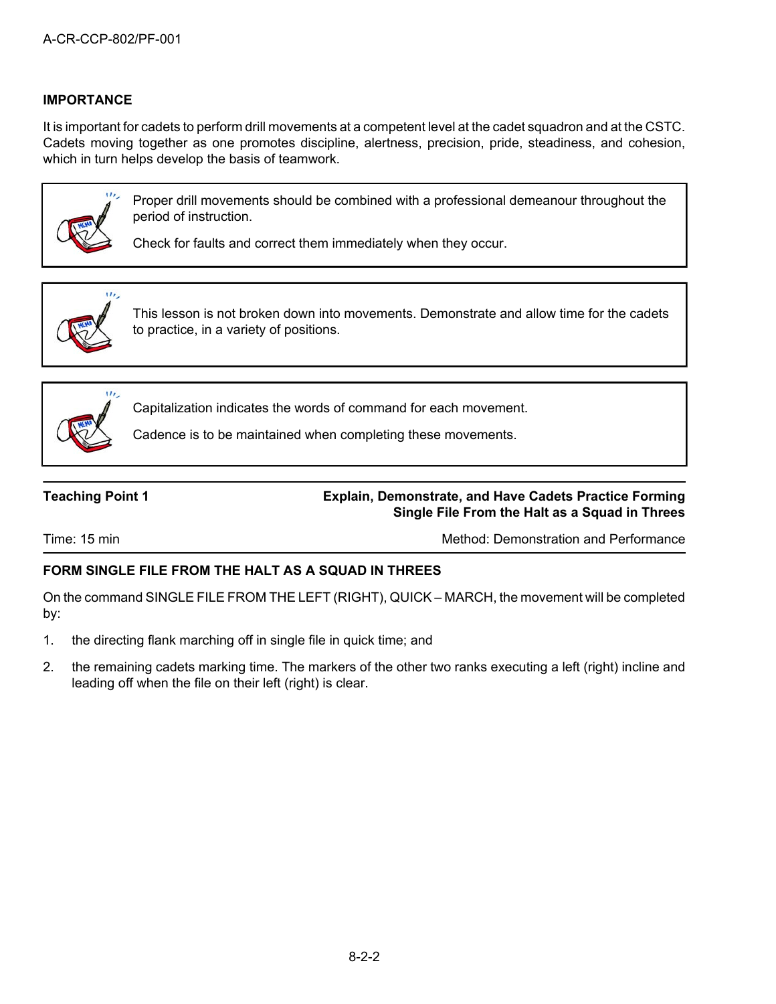## IMPORTANCE

It is important for cadets to perform drill movements at a competent level at the cadet squadron and at the CSTC. Cadets moving together as one promotes discipline, alertness, precision, pride, steadiness, and cohesion, which in turn helps develop the basis of teamwork.



Proper drill movements should be combined with a professional demeanour throughout the period of instruction.

Check for faults and correct them immediately when they occur.



This lesson is not broken down into movements. Demonstrate and allow time for the cadets to practice, in a variety of positions.



Capitalization indicates the words of command for each movement.

Cadence is to be maintained when completing these movements.

## Teaching Point 1 Explain, Demonstrate, and Have Cadets Practice Forming Single File From the Halt as a Squad in Threes

Time: 15 min Method: Demonstration and Performance

## FORM SINGLE FILE FROM THE HALT AS A SQUAD IN THREES

On the command SINGLE FILE FROM THE LEFT (RIGHT), QUICK – MARCH, the movement will be completed by:

- 1. the directing flank marching off in single file in quick time; and
- 2. the remaining cadets marking time. The markers of the other two ranks executing a left (right) incline and leading off when the file on their left (right) is clear.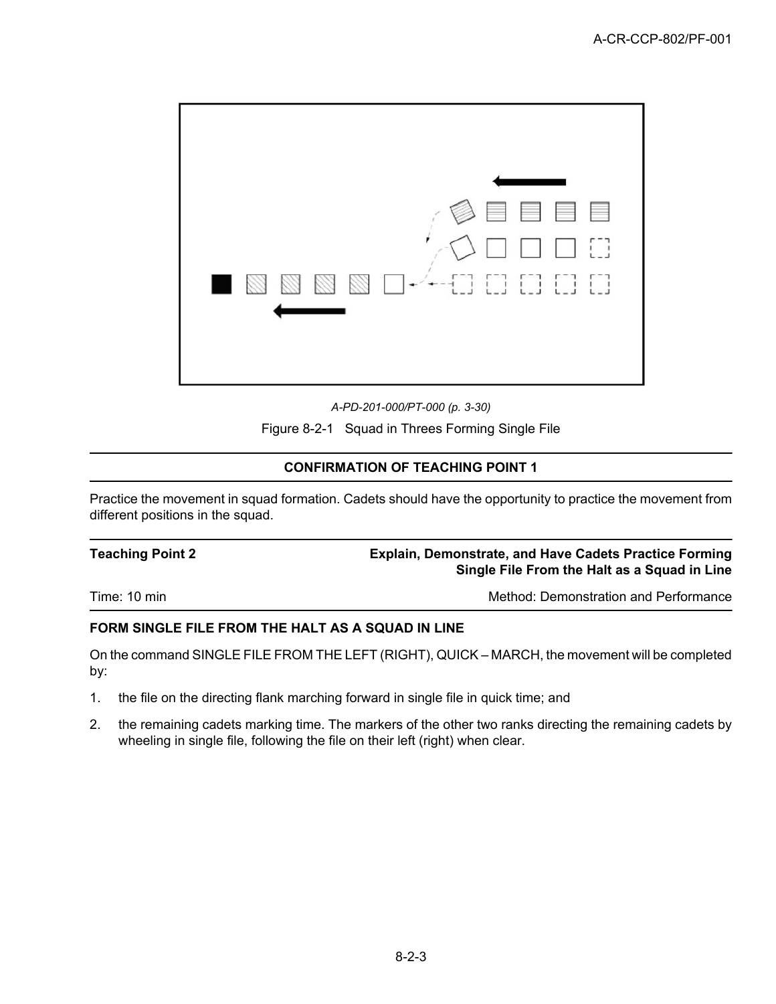

A-PD-201-000/PT-000 (p. 3-30)

Figure 8-2-1 Squad in Threes Forming Single File

## CONFIRMATION OF TEACHING POINT 1

Practice the movement in squad formation. Cadets should have the opportunity to practice the movement from different positions in the squad.

#### Teaching Point 2 Explain, Demonstrate, and Have Cadets Practice Forming Single File From the Halt as a Squad in Line

Time: 10 min Method: Demonstration and Performance

## FORM SINGLE FILE FROM THE HALT AS A SQUAD IN LINE

On the command SINGLE FILE FROM THE LEFT (RIGHT), QUICK – MARCH, the movement will be completed by:

- 1. the file on the directing flank marching forward in single file in quick time; and
- 2. the remaining cadets marking time. The markers of the other two ranks directing the remaining cadets by wheeling in single file, following the file on their left (right) when clear.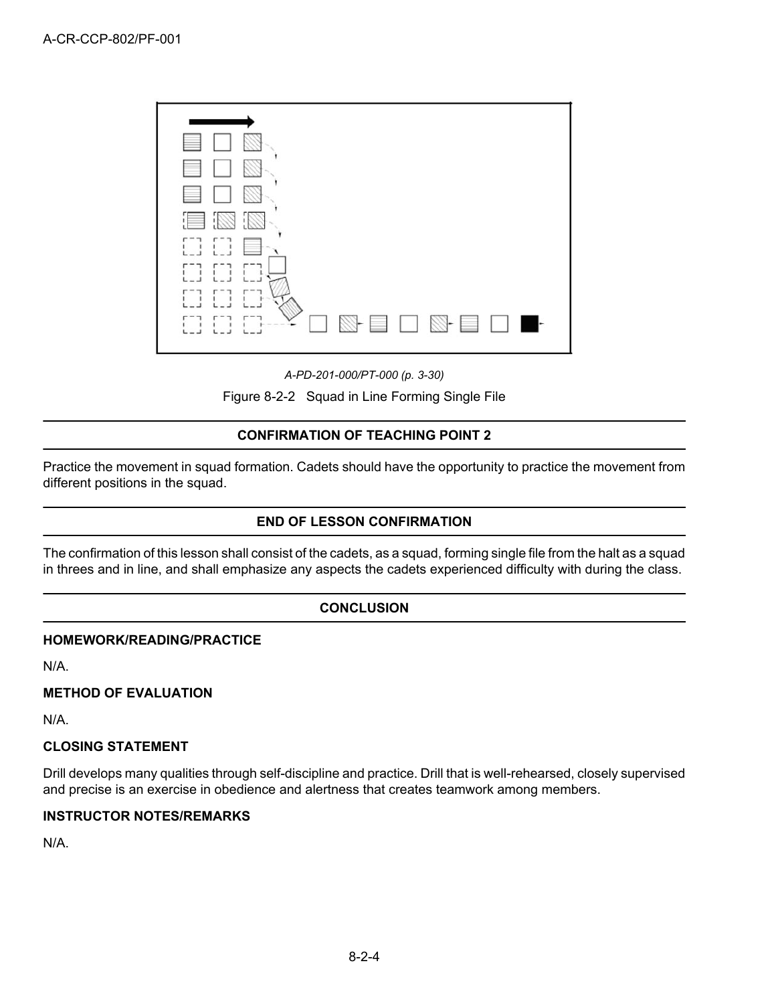



## CONFIRMATION OF TEACHING POINT 2

Practice the movement in squad formation. Cadets should have the opportunity to practice the movement from different positions in the squad.

## END OF LESSON CONFIRMATION

The confirmation of this lesson shall consist of the cadets, as a squad, forming single file from the halt as a squad in threes and in line, and shall emphasize any aspects the cadets experienced difficulty with during the class.

## **CONCLUSION**

## HOMEWORK/READING/PRACTICE

N/A.

METHOD OF EVALUATION

N/A.

## CLOSING STATEMENT

Drill develops many qualities through self-discipline and practice. Drill that is well-rehearsed, closely supervised and precise is an exercise in obedience and alertness that creates teamwork among members.

## INSTRUCTOR NOTES/REMARKS

N/A.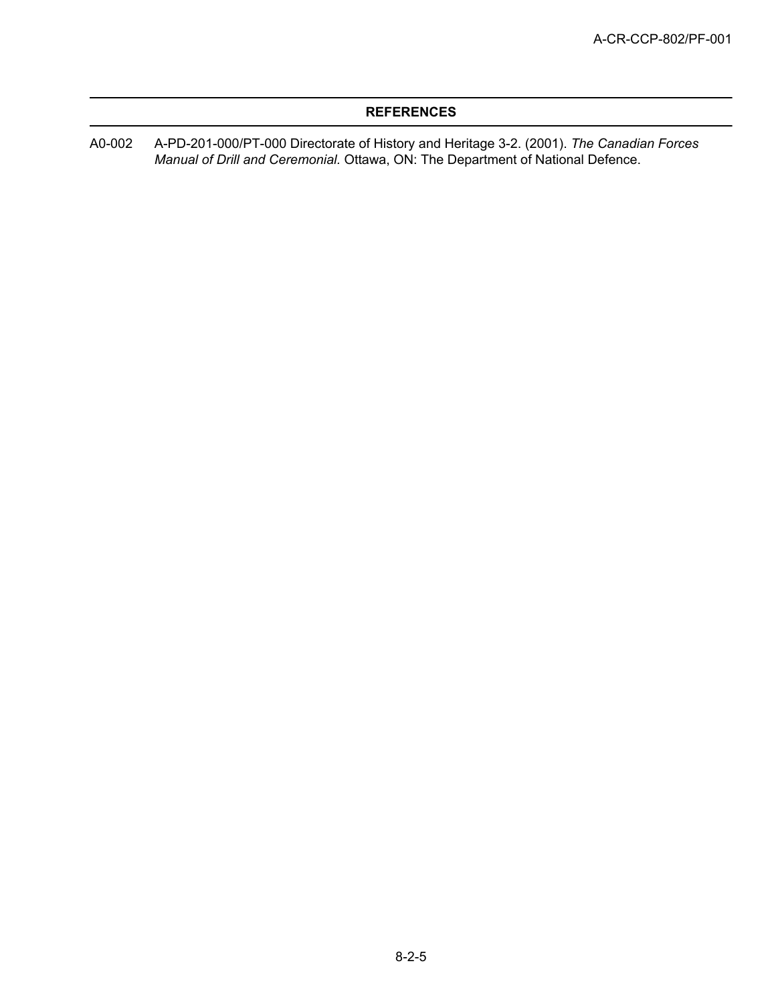## **REFERENCES**

A0-002 A-PD-201-000/PT-000 Directorate of History and Heritage 3-2. (2001). The Canadian Forces Manual of Drill and Ceremonial. Ottawa, ON: The Department of National Defence.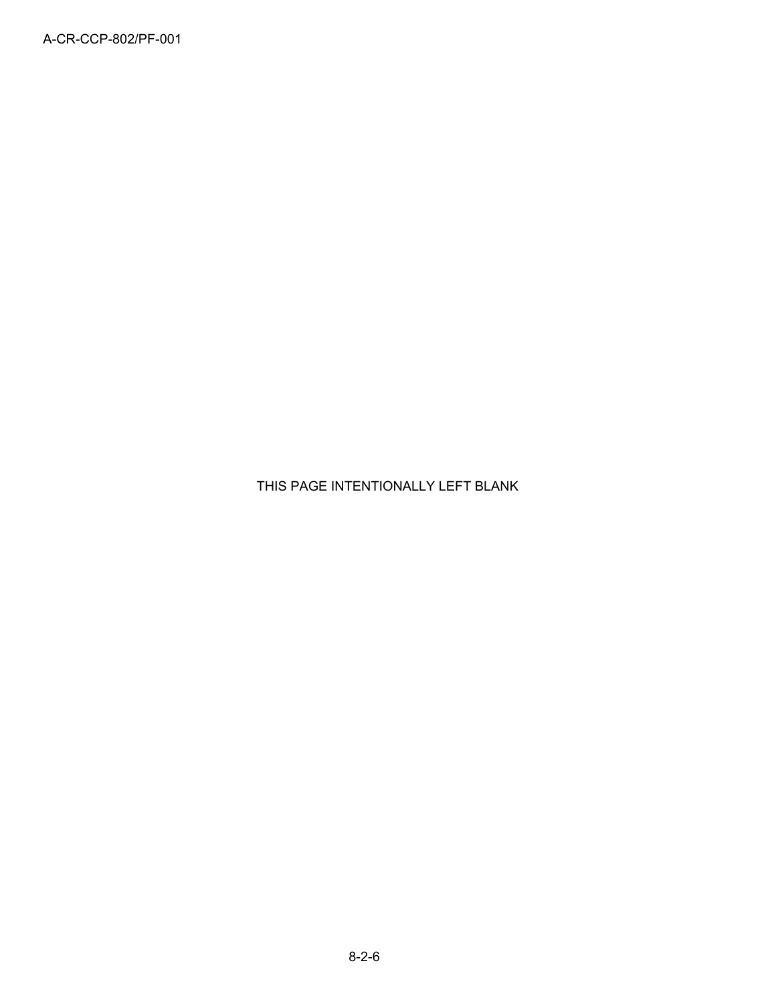THIS PAGE INTENTIONALLY LEFT BLANK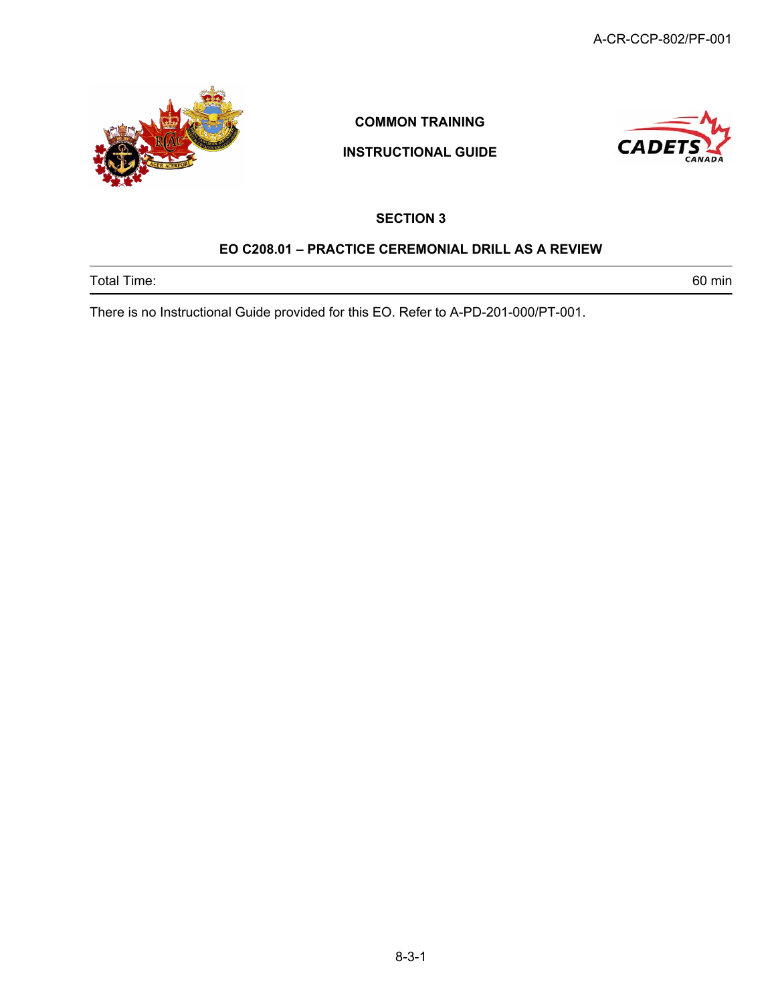

## INSTRUCTIONAL GUIDE



## SECTION 3

## EO C208.01 – PRACTICE CEREMONIAL DRILL AS A REVIEW

Total Time: 60 min

There is no Instructional Guide provided for this EO. Refer to A-PD-201-000/PT-001.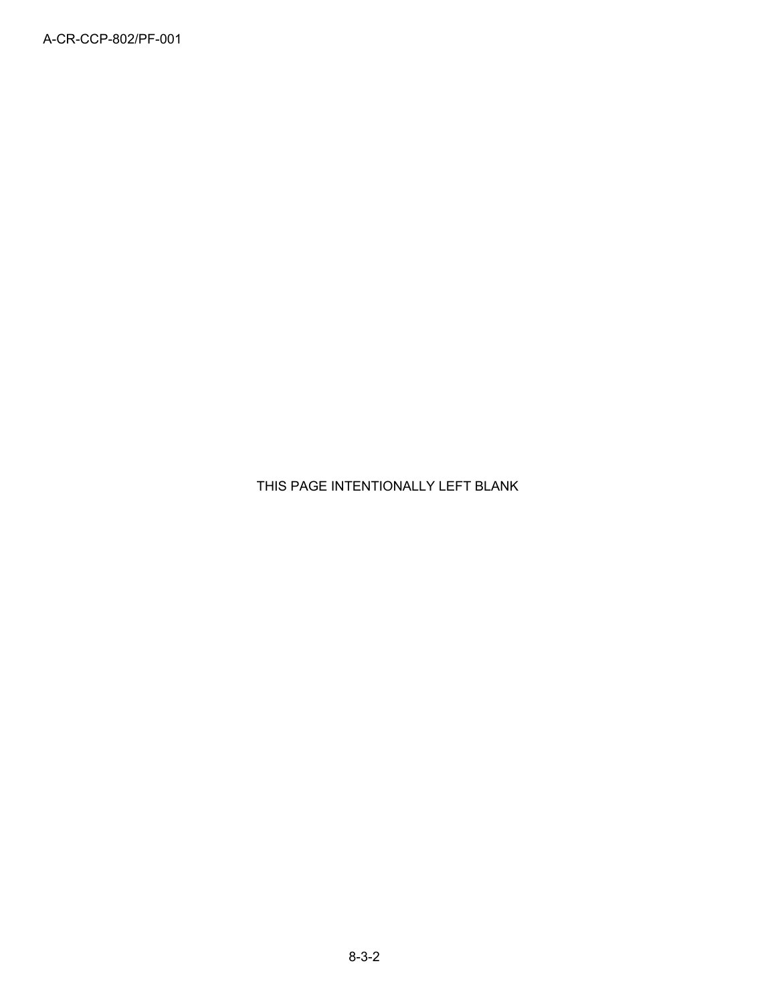THIS PAGE INTENTIONALLY LEFT BLANK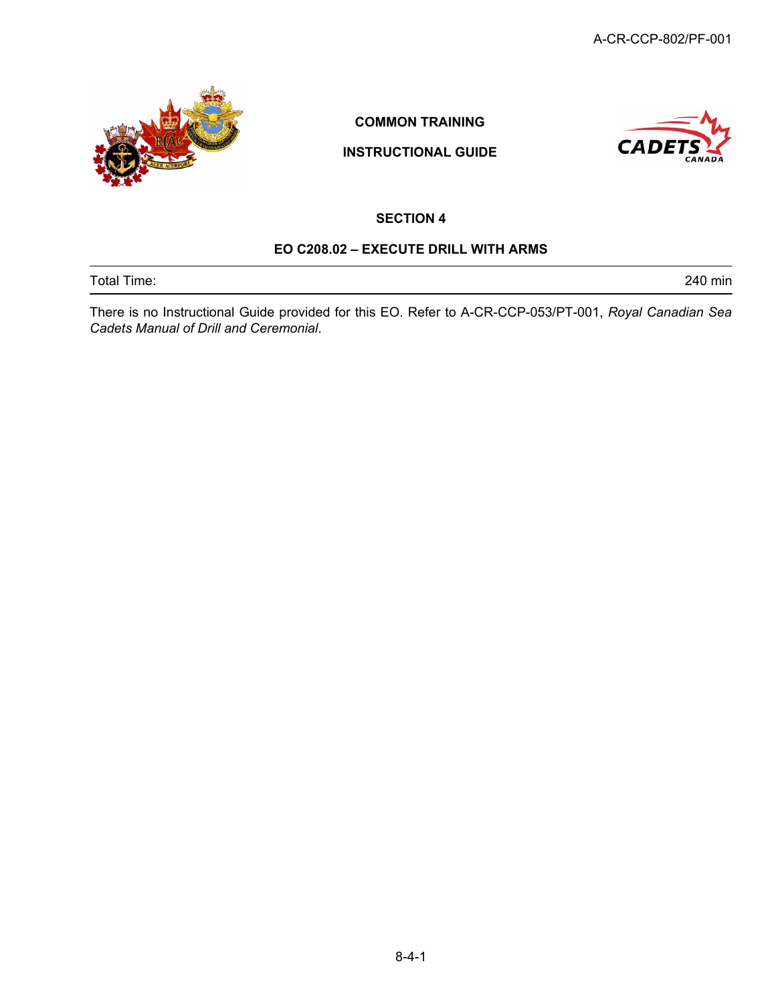

## INSTRUCTIONAL GUIDE



## SECTION 4

## EO C208.02 – EXECUTE DRILL WITH ARMS

Total Time: 240 min

There is no Instructional Guide provided for this EO. Refer to A-CR-CCP-053/PT-001, Royal Canadian Sea Cadets Manual of Drill and Ceremonial.